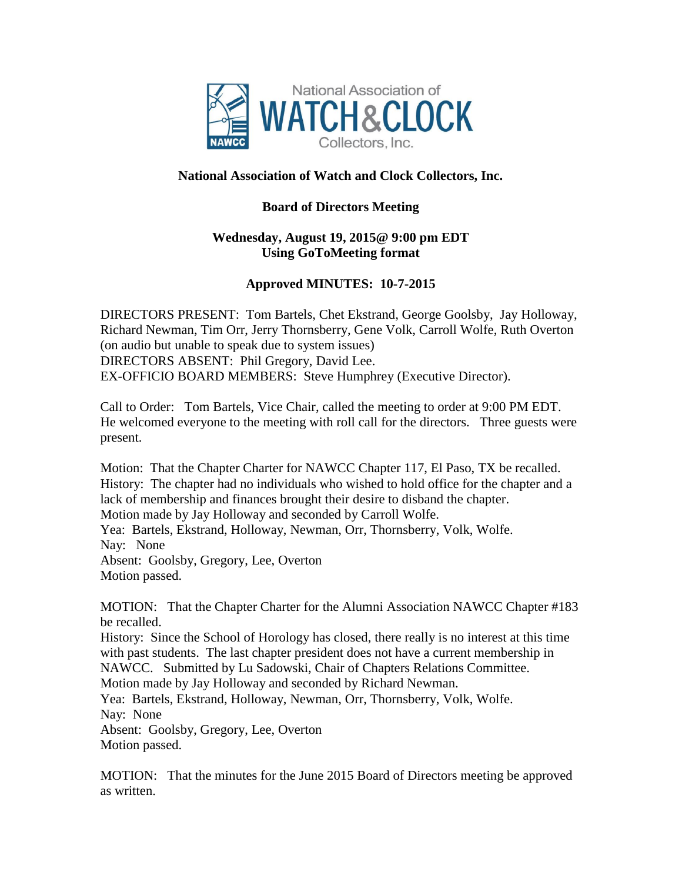

## **National Association of Watch and Clock Collectors, Inc.**

## **Board of Directors Meeting**

## **Wednesday, August 19, 2015@ 9:00 pm EDT Using GoToMeeting format**

## **Approved MINUTES: 10-7-2015**

DIRECTORS PRESENT: Tom Bartels, Chet Ekstrand, George Goolsby, Jay Holloway, Richard Newman, Tim Orr, Jerry Thornsberry, Gene Volk, Carroll Wolfe, Ruth Overton (on audio but unable to speak due to system issues) DIRECTORS ABSENT: Phil Gregory, David Lee. EX-OFFICIO BOARD MEMBERS: Steve Humphrey (Executive Director).

Call to Order: Tom Bartels, Vice Chair, called the meeting to order at 9:00 PM EDT. He welcomed everyone to the meeting with roll call for the directors. Three guests were present.

Motion: That the Chapter Charter for NAWCC Chapter 117, El Paso, TX be recalled. History: The chapter had no individuals who wished to hold office for the chapter and a lack of membership and finances brought their desire to disband the chapter. Motion made by Jay Holloway and seconded by Carroll Wolfe. Yea: Bartels, Ekstrand, Holloway, Newman, Orr, Thornsberry, Volk, Wolfe. Nay: None Absent: Goolsby, Gregory, Lee, Overton Motion passed.

MOTION: That the Chapter Charter for the Alumni Association NAWCC Chapter #183 be recalled.

History: Since the School of Horology has closed, there really is no interest at this time with past students. The last chapter president does not have a current membership in NAWCC. Submitted by Lu Sadowski, Chair of Chapters Relations Committee.

Motion made by Jay Holloway and seconded by Richard Newman.

Yea: Bartels, Ekstrand, Holloway, Newman, Orr, Thornsberry, Volk, Wolfe. Nay: None

Absent: Goolsby, Gregory, Lee, Overton Motion passed.

MOTION: That the minutes for the June 2015 Board of Directors meeting be approved as written.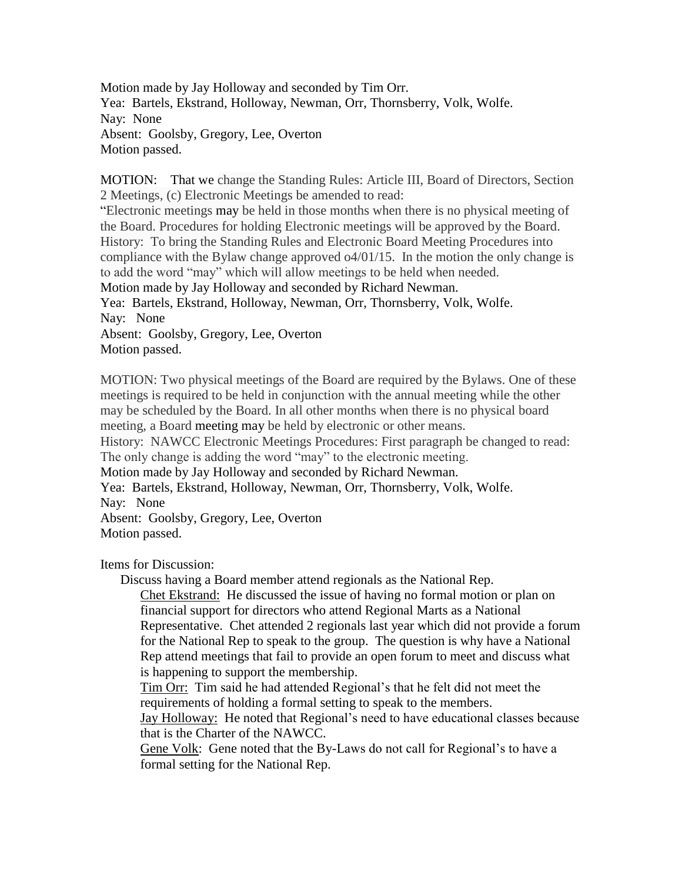Motion made by Jay Holloway and seconded by Tim Orr. Yea: Bartels, Ekstrand, Holloway, Newman, Orr, Thornsberry, Volk, Wolfe. Nay: None Absent: Goolsby, Gregory, Lee, Overton Motion passed.

MOTION: That we change the Standing Rules: Article III, Board of Directors, Section 2 Meetings, (c) Electronic Meetings be amended to read:

"Electronic meetings may be held in those months when there is no physical meeting of the Board. Procedures for holding Electronic meetings will be approved by the Board. History: To bring the Standing Rules and Electronic Board Meeting Procedures into compliance with the Bylaw change approved o4/01/15. In the motion the only change is to add the word "may" which will allow meetings to be held when needed.

Motion made by Jay Holloway and seconded by Richard Newman.

Yea: Bartels, Ekstrand, Holloway, Newman, Orr, Thornsberry, Volk, Wolfe. Nay: None

Absent: Goolsby, Gregory, Lee, Overton Motion passed.

MOTION: Two physical meetings of the Board are required by the Bylaws. One of these meetings is required to be held in conjunction with the annual meeting while the other may be scheduled by the Board. In all other months when there is no physical board meeting, a Board meeting may be held by electronic or other means.

History: NAWCC Electronic Meetings Procedures: First paragraph be changed to read: The only change is adding the word "may" to the electronic meeting.

Motion made by Jay Holloway and seconded by Richard Newman.

Yea: Bartels, Ekstrand, Holloway, Newman, Orr, Thornsberry, Volk, Wolfe. Nay: None

Absent: Goolsby, Gregory, Lee, Overton Motion passed.

Items for Discussion:

Discuss having a Board member attend regionals as the National Rep.

Chet Ekstrand: He discussed the issue of having no formal motion or plan on financial support for directors who attend Regional Marts as a National Representative. Chet attended 2 regionals last year which did not provide a forum for the National Rep to speak to the group. The question is why have a National Rep attend meetings that fail to provide an open forum to meet and discuss what is happening to support the membership.

Tim Orr: Tim said he had attended Regional's that he felt did not meet the requirements of holding a formal setting to speak to the members.

Jay Holloway: He noted that Regional's need to have educational classes because that is the Charter of the NAWCC.

Gene Volk: Gene noted that the By-Laws do not call for Regional's to have a formal setting for the National Rep.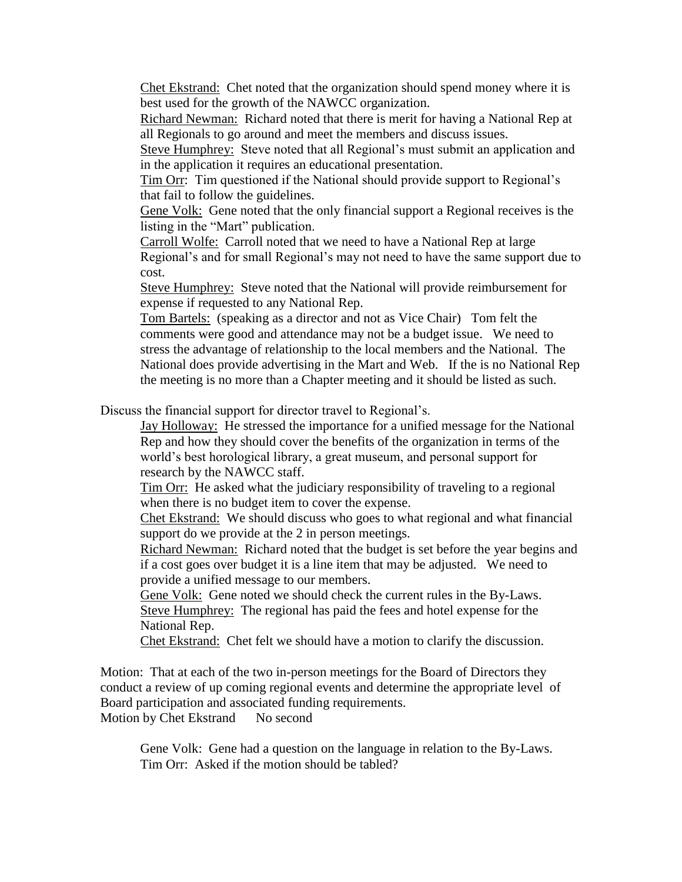Chet Ekstrand: Chet noted that the organization should spend money where it is best used for the growth of the NAWCC organization.

Richard Newman: Richard noted that there is merit for having a National Rep at all Regionals to go around and meet the members and discuss issues.

Steve Humphrey: Steve noted that all Regional's must submit an application and in the application it requires an educational presentation.

Tim Orr: Tim questioned if the National should provide support to Regional's that fail to follow the guidelines.

Gene Volk: Gene noted that the only financial support a Regional receives is the listing in the "Mart" publication.

Carroll Wolfe: Carroll noted that we need to have a National Rep at large Regional's and for small Regional's may not need to have the same support due to cost.

Steve Humphrey: Steve noted that the National will provide reimbursement for expense if requested to any National Rep.

Tom Bartels: (speaking as a director and not as Vice Chair) Tom felt the comments were good and attendance may not be a budget issue. We need to stress the advantage of relationship to the local members and the National. The National does provide advertising in the Mart and Web. If the is no National Rep the meeting is no more than a Chapter meeting and it should be listed as such.

Discuss the financial support for director travel to Regional's.

Jay Holloway: He stressed the importance for a unified message for the National Rep and how they should cover the benefits of the organization in terms of the world's best horological library, a great museum, and personal support for research by the NAWCC staff.

Tim Orr: He asked what the judiciary responsibility of traveling to a regional when there is no budget item to cover the expense.

Chet Ekstrand: We should discuss who goes to what regional and what financial support do we provide at the 2 in person meetings.

Richard Newman: Richard noted that the budget is set before the year begins and if a cost goes over budget it is a line item that may be adjusted. We need to provide a unified message to our members.

Gene Volk: Gene noted we should check the current rules in the By-Laws. Steve Humphrey: The regional has paid the fees and hotel expense for the National Rep.

Chet Ekstrand: Chet felt we should have a motion to clarify the discussion.

Motion: That at each of the two in-person meetings for the Board of Directors they conduct a review of up coming regional events and determine the appropriate level of Board participation and associated funding requirements.

Motion by Chet Ekstrand No second

Gene Volk: Gene had a question on the language in relation to the By-Laws. Tim Orr: Asked if the motion should be tabled?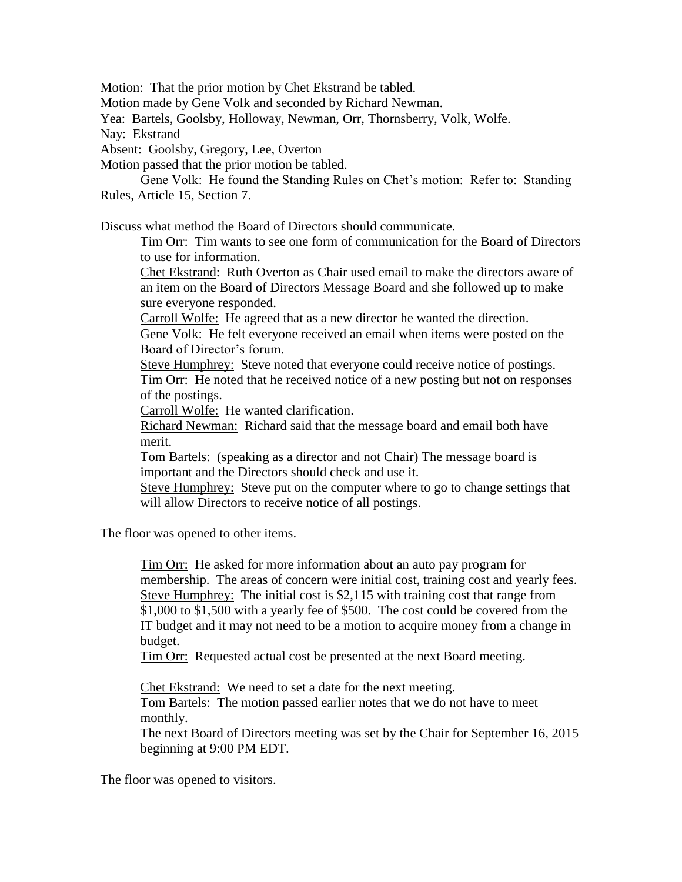Motion: That the prior motion by Chet Ekstrand be tabled.

Motion made by Gene Volk and seconded by Richard Newman.

Yea: Bartels, Goolsby, Holloway, Newman, Orr, Thornsberry, Volk, Wolfe.

Nay: Ekstrand

Absent: Goolsby, Gregory, Lee, Overton

Motion passed that the prior motion be tabled.

Gene Volk: He found the Standing Rules on Chet's motion: Refer to: Standing Rules, Article 15, Section 7.

Discuss what method the Board of Directors should communicate.

Tim Orr: Tim wants to see one form of communication for the Board of Directors to use for information.

Chet Ekstrand: Ruth Overton as Chair used email to make the directors aware of an item on the Board of Directors Message Board and she followed up to make sure everyone responded.

Carroll Wolfe: He agreed that as a new director he wanted the direction. Gene Volk: He felt everyone received an email when items were posted on the Board of Director's forum.

Steve Humphrey: Steve noted that everyone could receive notice of postings. Tim Orr: He noted that he received notice of a new posting but not on responses of the postings.

Carroll Wolfe: He wanted clarification.

Richard Newman: Richard said that the message board and email both have merit.

Tom Bartels: (speaking as a director and not Chair) The message board is important and the Directors should check and use it.

Steve Humphrey: Steve put on the computer where to go to change settings that will allow Directors to receive notice of all postings.

The floor was opened to other items.

Tim Orr: He asked for more information about an auto pay program for membership. The areas of concern were initial cost, training cost and yearly fees. Steve Humphrey: The initial cost is \$2,115 with training cost that range from \$1,000 to \$1,500 with a yearly fee of \$500. The cost could be covered from the IT budget and it may not need to be a motion to acquire money from a change in budget.

Tim Orr: Requested actual cost be presented at the next Board meeting.

Chet Ekstrand: We need to set a date for the next meeting.

Tom Bartels: The motion passed earlier notes that we do not have to meet monthly.

The next Board of Directors meeting was set by the Chair for September 16, 2015 beginning at 9:00 PM EDT.

The floor was opened to visitors.